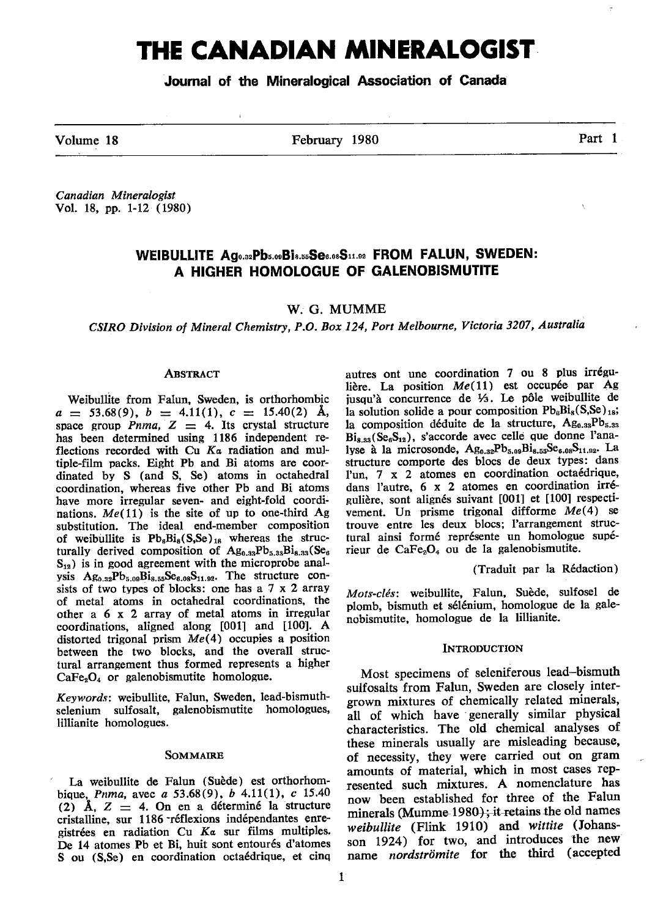# THE CANADIAN MINERALOGIST

Journal of the Mineralogical Association of Canada

Volume 18 **February 1980** Part 1

Canadian Mineralogist Vol. 18, pp. 1-12 (1980)

# WEIBULLITE Ago.32Pbs.09Bis.55Ses.08S11.92 FROM FALUN, SWEDEN: A HIGHER HOMOLOGUE OF GALENOBISMUTITE

W. G. MUMME

CSIRO Division of Mineral Chemistry, P.O. Box 124, Port Melbourne, Victoria 3207, Australia

#### **ABSTRACT**

 $\mathbf{r}$ 

Weibullite from Falun, Sweden, is orthorhombic  $a = 53.68(9)$ ,  $b = 4.11(1)$ ,  $c = 15.40(2)$  Å, space group *Pnma*,  $Z = 4$ . Its crystal structure has been determined using 1186 independent reflections recorded with Cu  $Ka$  radiation and multiple-film packs. Eight Pb and Bi atoms are coordinated by S (and S, Se) atoms in octahedral coordination, whereas five other Pb and Bi atoms have more irregular seven- and eight-fold coordinations.  $Me(11)$  is the site of up to one-third Ag substitution. The ideal end-member composition of weibullite is  $Pb_8Bi_8(S,Se)_{18}$  whereas the structurally derived composition of  $\text{Ag}_{0.33}\text{Pb}_{5.33}\text{Bi}_{8.33}(\text{Se}_{8})$  $S_{12}$ ) is in good agreement with the microprobe analysis  $Ag_{0.32}Pb_{5.09}Bi_{8.55}Se_{6.08}S_{11.92}$ . The structure consists of two types of blocks: one has a  $7 \times 2$  array of metal atoms in octahedral coordinations, the other a 6 x 2 array of metal atoms in irregular coordinations, aligned along [001] and [l0O]. A distorted trigonal prism  $Me(4)$  occupies a position between the two blocks. and the overall structural arrangement thus formed represents a higher CaFezOa or galenobismutite homologue.

Keywords; weibullite, Falun, Sweden, lead-bismuthselenium sulfosalt, galenobismutite homologues, lillianite homologues.

#### SOMMAIRE

La weibullite de Falun (Suède) est orthorhombique, Pnma, avec a 53.68(9), b  $4.11(1)$ , c 15.40 (2)  $\AA$ ,  $Z = 4$ . On en a déterminé la structure cristalline, sur 1186 réflexions indépendantes enregistrées en radiation Cu  $Ka$  sur films multiples. De 14 atomes Pb et Bi, huit sont entourés d'atomes S ou (S, Se) en coordination octaédrique, et cinq autres ont une coordination 7 ou 8 plus irrégulière. La position  $Me(11)$  est occupée par Ag jusqu'à concurrence de 1⁄3. Le pôle weibullite de la solution solide a pour composition  $Pb_6Bi_8(S,Se)_{16}$ ; la composition déduite de la structure, Ag<sub>0.33</sub>Pb<sub>5.33</sub>  $Bi<sub>s</sub>_{83} (Se<sub>6</sub>S<sub>12</sub>)$ , s'accorde avec celle que donne l'analyse à la microsonde,  $Ag_{0.32}Pb_{5.09}Bi_{8.55}Se_{6.08}S_{11.92}$ . La structure comporte des blocs de deux types: dans l'un. 7 x 2 atomes en coordination octaédrique, dans I'autre, 6 x 2 atomes en coordination irr6 gulière, sont alignés suivant [001] et [100] respectivement. Un prisme trigonal difforme  $Me(4)$  se trouve entre les deux blocs; l'arrangement structural ainsi formé représente un homologue supérieur de CaFe<sub>2</sub>O<sub>4</sub> ou de la galenobismutite.

(Traduit par la Rédaction)

Mots-clés: weibullite, Falun, Suède, sulfosel de plomb, bismuth et sélénium, homologue de la galenobismutite, homologue de la lillianite.

#### **INTRODUCTION**

Most specimens of seleniferous lead-bismuth sulfosalts from Falun, Sweden are closely intergrown mixtures of chemically related minerals, all of which have generally similar physical characteristics. The old chemical analyses of these minerals usually are misleading because, of necessity, they were carried out on gram amounts of material, which in most cases represented such mixtures. A nomenclature has now been established for three of the Falun minerals (Mumme-1980); it retains the old names weibullite (Flink 1910) and wittite (Johansson 1924) for two, and introduces the new name nordströmite for the third (accepted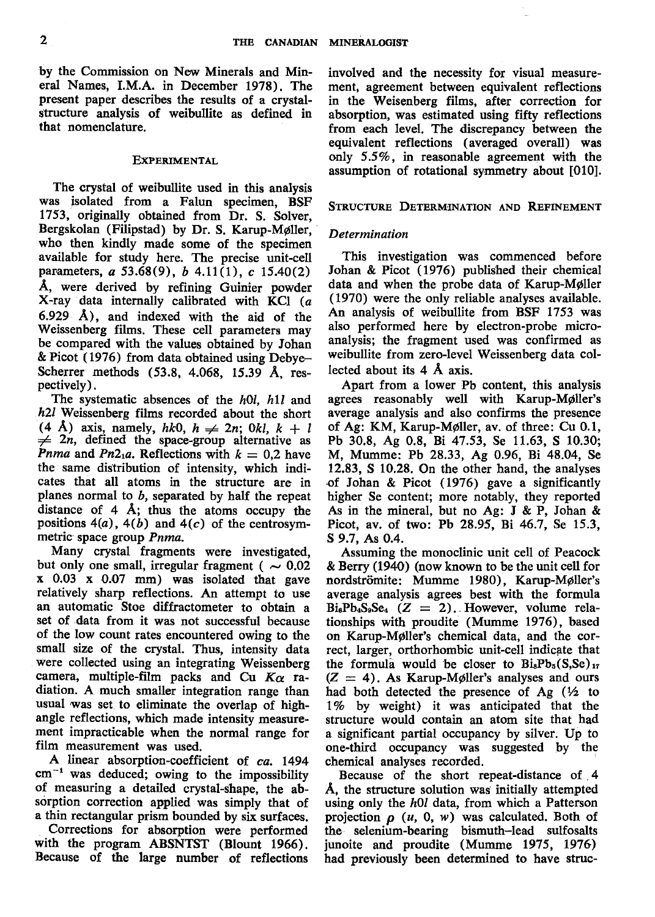by the Commission on New Minerals and Mineral Names, I.M.A. in December 1978). The present paper describes the results of a crystalstructure analysis of weibullite as defined in that nomenclature.

## **EXPERIMENTAL**

The crystal of weibullite used in this analysis was isolated from a Falun specimen, BSF 1753, originally obtained from Dr. S. Solver, Bergskolan (Filipstad) by Dr. S. Karup-M6ller, who then kindly made some of the specimen available for study here. The precise unit-cell parameters,  $a\,53.68(9)$ ,  $b\,4.11(1)$ ,  $c\,15.40(2)$ A, were derived by refining Guinier powder X-ray data internally calibrated with KCI (a 6.929 A), and indexed with the aid of the Weissenberg films. These cell parameters may be compared with the values obtained by Johan & Picot (1976) from data obtained using Debye-Scherrer methods (53.8, 4.068, 15.39 A, respectively).

The systematic absences of the h0l, h1l and h<sub>2l</sub> Weissenberg films recorded about the short (4 Å) axis, namely, hk0,  $h \neq 2n$ ; Okl,  $k + l$  $\neq$  2n, defined the space-group alternative as *Pnma* and *Pn2*<sub>1</sub>*a*. Reflections with  $k = 0.2$  have the same distribution of intensity, which indicates that all atoms in the structure are in planes normal to  $b$ , separated by half the repeat distance of 4  $\AA$ ; thus the atoms occupy the positions  $4(a)$ ,  $4(b)$  and  $4(c)$  of the centrosymmetric space group Pnma.

Many crystal fragments were investigated, but only one small, irregular fragment ( $\sim 0.02$ ) x O.03 x O.O7 mm) was isolated that gave relatively sharp reflections. An attempt to use an automatic Stoe diffractometer to obtain a set of data from it was not successful because of the low count rates encountered owing to the small size of the crystal. Thus, intensity data were collected using an integrating Weissenberg camera, multiple-film packs and Cu  $K_{\alpha}$  radiation. A much smaller integration range than usual was set to eliminate the overlap of highangle reflections, which made intensity measurement impracticable when the normal range for film measurement was used.

A linear absorption-coefficient of ca. 1494  $cm^{-1}$  was deduced; owing to the impossibility of measuring a detailed crystal-shape, the absorption correction applied was simply that of a thin rectangular prism bounded by six surfaces.

Corrections for absorption were performed with the program ABSNTST (Blount 1965). Because of the large number of reflections involved and the necessity for visual measurement, agreement between equivalent reflections in the Weisenberg films, after correction for absorption, was estimated using fifty reflections from each level. The discrepancy between the equivalent reflections (averaged overall) was only  $5.5\%$ , in reasonable agreement with the assumption of rotational symmetry about [010].

## STRUCTURE DETERMINATION AND REFINEMENT

## Determination

This investigation was commenced before Johan & Picot (1976) published their chemical data and when the probe data of Karup-Møller (1970) were the only reliable analyses available. An analysis of weibullite from BSF 1753 was also performed here by electron-probe microanalysis; the fragment used was confirmed as weibullite from zero-level Weissenberg data collected about its 4 A axis.

Apart from a lower Pb content, this analysis agrees reasonably well with Karup-M@ller's average analysis and also confirms the presence of Ag: KM, Karup-Mpller, av. of three: Cu 0.1, Pb 3O.8, Ag 0.8, Bi 47.53, Se 11.63, S 10.3O; M, Mumme: Pb 28.33, Ag 0.96, Bi 48.04, Se 12.83, S 10.28. On the other hand, the analyses of Johan & Picot (1976) gave a significandy higher Se content; more notably, they reported As in the mineral, but no Ag: J & P, Johan & Picot, av. of two: Pb 28.95, Bi 46.7, Se 15.3, S 9.7, As 0.4.

Assuming the monoclinic unit cell of Peacock  $\&$  Berry (1940) (now known to be the unit cell for nordströmite: Mumme 1980), Karup-Møller's average analysis agrees best with the formula  $Bi_6Pb_4S_9Se_4$  ( $Z = 2$ ), However, volume relationships with proudite (Mumme 1976), based on Karup-M@ller's chemical data, and the correct, larger, orthorhombic unit-cell indicate that the formula would be closer to  $Bi_8Pb_5(S,Se)_{17}$  $(Z = 4)$ . As Karup-Møller's analyses and ours had both detected the presence of  $Ag$  ( $\frac{1}{2}$  to 1% by weight) it was anticipated that the structure would contain an atom site that had a significant partial occupancy by silver. Up to one-third occupancy was zuggested by the chemical analyses recorded.

Because of the short repeat-distance of 4 A, the structure solution was initially attempted using only the h0l data, from which a Patterson projection  $\rho$  (u, 0, w) was calculated. Both of the selenium-bearing bismuth-lead sulfosalts junoite and proudite (Mumme 1975, 1976) had previously been determined to have struc-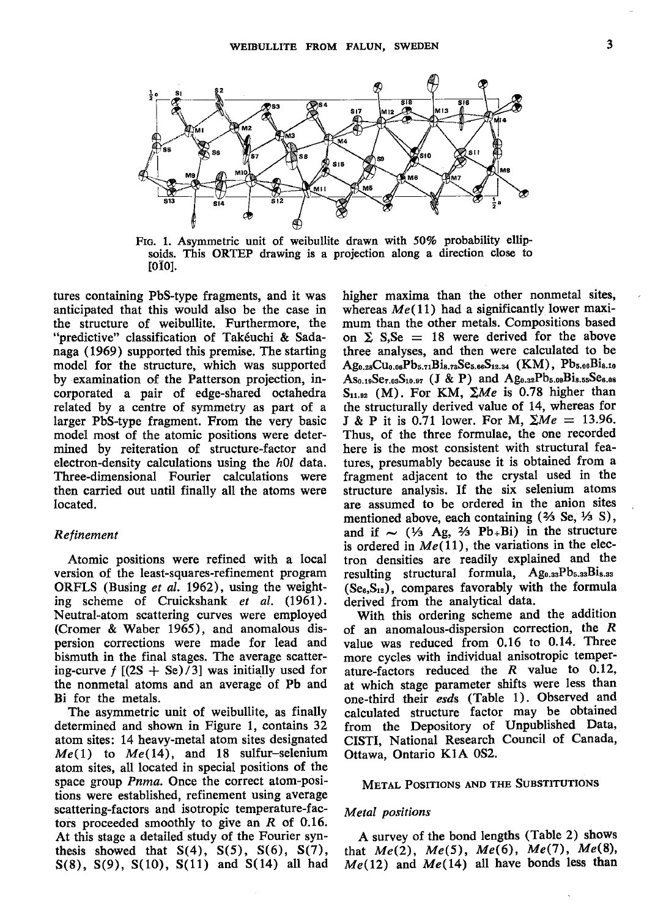

FIG. 1. Asymmetric unit of weibullite drawn with 50% probability ellipsoids. This ORTEP drawing is a projection along a direction close to t0I0l.

tures containing PbS-type fragments, and it was anticipated that this would also be the case in the structure of weibullite. Furthermore, the "predictive" classification of Takéuchi & Sadanaga (1969) supported this premise. The starting model for the structure, which was supported by examination of the Patterson projection, incorporated a pair of edge-shared octahedra related by a centre of symmetry as part of a larger PbS-type fragment. From the very basic model most of the atomic positions were determined by reiteration of structure-factor and electron-density calculations using the h0l data. Three-dimensional Fourier calculations were then carried out until finally all the atoms were located.

## Refinement

Atomic positions were refined with a local version of the least-squares-refinement program ORFLS (Busing et al. 1962), using the weighting scheme of Cruickshank et al. (1961). Neutral-atom scattering curves were employed (Cromer & Waber 1965), and anomalous dispersion corrections were made for lead and bismuth in the final stages. The average scattering-curve  $f$  [ $(2S + Se)/3$ ] was initially used for the nonmetal atoms and an average of Pb and Bi for the metals.

The asymmetric unit of weibullite, as finally determined and shown in Figure I, contains 32 atom sites: 14 heavy-metal atom sites designated  $Me(1)$  to  $Me(14)$ , and 18 sulfur-selenium atom sites, all located in special positions of the space group *Pnma*. Once the correct atom-positions were established, refinement using average scattering-factors and isotropic temperature-factors proceeded smoothly to give an  $R$  of 0.16. At this stage a detailed study of the Fourier synthesis showed that  $S(4)$ ,  $S(5)$ ,  $S(6)$ ,  $S(7)$ ,  $S(8)$ ,  $S(9)$ ,  $S(10)$ ,  $S(11)$  and  $S(14)$  all had higher maxima than the other nonmetal sites, whereas  $Me(11)$  had a significantly lower maximum than the other metals. Compositions based on  $\Sigma$  S, Se = 18 were derived for the above three analyses, and then were calculated to be  $Ag_{0.28}Cu_{0.06}Pb_{5.71}Bi_{8.73}Se_{5.66}S_{12.34}$  (KM),  $Pb_{5.06}Bi_{8.10}$  $As_{0.19}Se_{7.03}S_{10.97}$  (J & P) and  $Ag_{0.32}Pb_{5.09}Bi_{8.55}Se_{6.05}$  $S<sub>11.92</sub>$  (M). For KM,  $\Sigma Me$  is 0.78 higher than the structurally derived value of 14, whereas for J & P it is 0.71 lower. For M,  $\Sigma Me = 13.96$ . Thus, of the three formulae, the one recorded here is the most consistent with structural features, presumably because it is obtained from a fragment adjacent to the crystal used in the structure analysis. If the six selenium atoms are assumed to be ordered in the anion sites mentioned above, each containing  $(3/3 \text{ Se}, 1/3 \text{ S})$ , and if  $\sim$  (1/3 Ag, 2/3 Pb+Bi) in the structure is ordered in  $Me(11)$ , the variations in the electron densities are readily explained and the resulting structural formula,  $Ag_{0.33}Pb_{5.33}Bi_{8.33}$  $(Se_6, S_{12})$ , compares favorably with the formula derived from the analytical data.

With this ordering scheme and the addition of an anomalous-dispersion correction, the  $R$ value was reduced from 0.16 to 0.14. Three more cycles with individual anisotropic temperature-factors reduced the R value to 0.12, at which stage parameter shifts were less than one-third their esds (Table 1). Observed and calculated structure factor may be obtained from the Depository of Unpublished Data, CISTI, National Research Council of Canada, Ottawa, Ontario KIA 0S2.

# METAL POSITIONS AND THE SUBSTITUTIONS

#### Metal positions

A survey of the bond lengths (Table 2) shows that  $Me(2)$ ,  $Me(5)$ ,  $Me(6)$ ,  $Me(7)$ ,  $Me(8)$ ,  $Me(12)$  and  $Me(14)$  all have bonds less than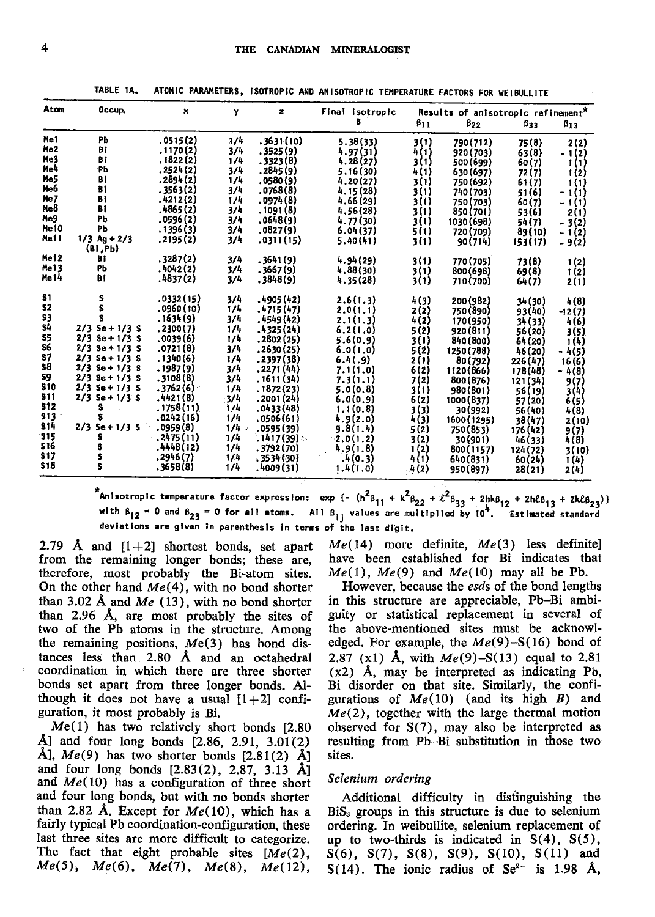TABLE 1A. ATOMIC PARAMETERS, ISOTROPIC AND ANISOTROPIC TEMPERATURE FACTORS FOR WEIBULLITE

| Atom            | Occup,                     | $\pmb{\times}$ | Y       | z           | Final isotropic | Results of anisotropic refinement <sup>*</sup> |              |          |              |
|-----------------|----------------------------|----------------|---------|-------------|-----------------|------------------------------------------------|--------------|----------|--------------|
|                 |                            |                |         |             |                 | $\beta_{11}$                                   | $\beta_{22}$ | $B_{33}$ | $\beta_{13}$ |
| Me1             | PЬ                         | .0515(2)       | 1/4     | .3631(10)   | 5.38(33)        | 3(1)                                           | 790 (712)    | 75(8)    | 2(2)         |
| Me <sub>2</sub> | BI                         | .1170(2)       | 3/4     | .3525(9)    | 4.97(31)        | 4(1)                                           | 920 (703)    | 63(8)    | $-1(2)$      |
| Me3             | B1                         | .1822(2)       | 1/4     | .3323(8)    | 4.28(27)        | 3(1)                                           | 500 (699)    | 60(7)    | 1(1)         |
| Me4             | ŦЬ                         | .2524(2)       | 3/4     | .2845(9)    | 5.16(30)        | 4(1)                                           | 630 (697)    | 72(7)    | 1(2)         |
| Ne5             | Bi                         | .2894(2)       | 1/h     | .0580(9)    | 4.20(27)        | 3(1)                                           | 750 (692)    | 61(7)    | 1(1)         |
| Меб             | 81                         | .3563(2)       | 3/4     | .0768(8)    | 4.15(28)        | 3(1)                                           | 740 (703)    | 51 (6)   | - 1 (1)      |
| Ne7             | Bi                         | .4212(2)       | 1/4     | , 0974 (8)  | 4.66(29)        | 3(1)                                           | 750 (703)    | 60(7)    | - 1 (1)      |
| Me8             | B1                         | .4865(2)       | 3/4     | .1091(8)    | 4.56(28)        | 3(1)                                           | 850 (701)    | 53(6)    | 2(1)         |
| Me9             | PЬ                         | .0596(2)       | 3/4     | ,0648(9)    | 4.77(30)        | 3(1)                                           | 1030 (698)   | 54(7)    | - 3(2)       |
| Me10            | PЬ                         | .1396(3)       | 3/4     | .0827(9)    | 6.04(37)        | 5(1)                                           | 720 (709)    | 89(10)   | - 1 (2)      |
| Me11            | $1/3$ Ag + 2/3<br>(B1, Pb) | .2195(2)       | 3/4     | .0311(15)   | 5.40(41)        | 3(1)                                           | 90(714)      | 153(17)  | - 9(2)       |
| Me12            | Bi                         | .3287(2)       | 3/4     | .3641(9)    | 4.94(29)        | 3(1)                                           | 770 (705)    | 73(8)    | 1(2)         |
| Me13            | PЬ                         | .4042(2)       | 3/4     | .3667(9)    | 4.88(30)        | 3(1)                                           | 800(698)     | 69(8)    | 1(2)         |
| He 14           | BI                         | .4837(2)       | 3/4     | .3848(9)    | 4.35(28)        | 3(1)                                           | 710 (700)    | 64(7)    | 2(1)         |
| 51              | s                          | .0332(15)      | 3/4     | .4905(42)   | 2.6(1.3)        | 4(3)                                           | 200 (982)    | 34 (30)  | 4(8)         |
| 52              | s                          | .0960(10)      | 1/4     | .4715(47)   | 2.0(1.1)        | 2(2)                                           | 750 (890)    | 93(40)   | $-12(7)$     |
| 53              |                            | . 1634 (9)     | 3/4     | . 4549 (42) | 2,1(1,3)        | 4(2)                                           | 170(950)     | 34 (33)  | 4(6)         |
| 54              | $2/3$ Se + 1/3 S           | .2300(7)       | 1/4     | .4325(24)   | 6.2(1.0)        | 5(2)                                           | 920 (811)    | 56 (20)  | 3(5)         |
| \$5             | $2/3$ Se + $1/3$ S         | .0039 (6)      | 1/h     | .2802(25)   | 5.6(0.9)        | 3(1)                                           | 840 (800)    | 64 (20)  | 1(4)         |
| S6              | $2/3$ Se + 1/3 S           | .0721 (8)      | 3/4     | .2630(25)   | 6.0(1,0)        | 5(2)                                           | 1250 (788)   | 46(20)   | - 4(5)       |
| 57              | $2/3$ Se + 1/3 S           | .1340(6)       | 1/4     | .2397(38)   | 6.4(.9)         | 2(1)                                           | 80(792)      | 226(47)  | 16(6)        |
| S8              | $2/3$ Se + 1/3 S           | .1987(9)       | 3/4     | . 2271 (44) | 7.1(1.0)        | 6(2)                                           | 1120(866)    | 178(48)  | - 4(8)       |
| 59              | $2/3$ Se + 1/3 S           | .3108(8)       | 3/4     | .1611(34)   | 7.3(1.1)        | 7(2)                                           | 800(876)     | 121(34)  | 9(7)         |
| 510             | $2/3$ Se + 1/3 S           | .3762(6)       | 1/4     | .1872(23)   | 5.0(0.8)        | 3(1)                                           | 980(801)     | 56(19)   | 3(4)         |
| 511             | $2/3$ Se + $1/3$ S         | .4421(8)       | 3/4     | .2001 (24)  | 6.0(0.9)        | 6(2)                                           | 1000(837)    | 57 (20)  | 6(5)         |
| <b>S12</b>      |                            | .1758(11)      | 1/4     | .0433(48)   | 1.1(0.8)        | 3(3)                                           | 30(992)      | 56 (40)  | 4(8)         |
| \$13            |                            | .0242(16)      | 1/4     | .0506(61)   | 4.9(2.0)        | 4(3)                                           | 1600 (1295)  | 38(47)   | 2(10)        |
| <b>S14</b>      | $2/3$ Se + 1/3 S           | .0959(8)       | $1/4 -$ | .0595(39)   | 9.8(1.4)        | 5 (2)                                          | 750 (853)    | 176 (42) | 9(7)         |
| \$15            | s                          | .2475(11)      | 1/4     | .1417(39)   | 2.0(1.2)        | 3(2)                                           | 30(901)      | 46(33)   | 4(8)         |
| \$16            | s                          | .4448(12)      | 1/4     | .3792(70)   | 4.9(1.8)        | 1(2)                                           | 800(1157)    | 124 (72) | 3(10)        |
| \$17            | s                          | .2946(7)       | 1/4     | .3534(30)   | .4(0.3)         | 4(1)                                           | 640(831)     | 60 (24)  | 1(4)         |
| \$18            | s                          | .3658(8)       | 1/4     | . 4009 (31) | 1.4(1.0)        | .4(2)                                          | 950(897)     | 28(21)   | 2(4)         |

<sup>\*</sup>Anisotropic temperature factor expression: exp {-  $(h^2\beta_{11} + k^2\beta_{22} + \ell^2\beta_{33} + 2hk\beta_{12} + 2h\ell\beta_{13} + 2k\ell\beta_{23})$ }<br>with  $\beta_{12} = 0$  and  $\beta_{23} = 0$  for all atoms. All  $\beta_{1j}$  values are multiplied by 10<sup>4</sup>. Estimat deviations are given in parenthesis in terms of the last digit.

2.79 Å and  $[1+2]$  shortest bonds, set apart from the remaining longer bonds; these are, therefore, most probably the Bi-atom sites. On the other hand  $Me(4)$ , with no bond shorter than 3.02 Å and  $Me(13)$ , with no bond shorter than 2.96  $\AA$ , are most probably the sites of two of the Pb atoms in the structure. Among the remaining positions,  $Me(3)$  has bond distances less than  $2.80$  Å and an octahedral coordination in which there are three shorter bonds set apart from three longer bonds. Although it does not have a usual  $[1+2]$  configuration, it most probably is Bi.

 $Me(1)$  has two relatively short bonds [2.80]  $\text{Å}$ ] and four long bonds [2.86, 2.91, 3.01(2) Å],  $Me(9)$  has two shorter bonds [2.81(2) Å] and four long bonds  $[2.83(2), 2.87, 3.13 \text{ Å}]$ and  $Me(10)$  has a configuration of three short and four long bonds, but with no bonds shorter than 2.82 Å. Except for  $Me(10)$ , which has a fairly typical Pb coordination-configuration, these last three sites are more difficult to categorize. The fact that eight probable sites  $[M_e(2)]$ ,  $Me(5)$ ,  $Me(6)$ ,  $Me(7)$ ,  $Me(8)$ ,  $Me(12)$ ,

 $Me(14)$  more definite,  $Me(3)$  less definite] have been established for Bi indicates that  $Me(1)$ ,  $Me(9)$  and  $Me(10)$  may all be Pb.

However, because the *esds* of the bond lengths in this structure are appreciable, Pb-Bi ambiguity or statistical replacement in several of the above-mentioned sites must be acknowledged. For example, the  $Me(9)$ -S(16) bond of 2.87 (x1) Å, with  $Me(9)$ -S(13) equal to 2.81  $(x2)$  Å, may be interpreted as indicating Pb, Bi disorder on that site. Similarly, the configurations of  $Me(10)$  (and its high  $B$ ) and  $Me(2)$ , together with the large thermal motion observed for  $S(7)$ , may also be interpreted as resulting from Pb-Bi substitution in those two sites.

## Selenium ordering

Additional difficulty in distinguishing the BiS<sub>3</sub> groups in this structure is due to selenium ordering. In weibullite, selenium replacement of up to two-thirds is indicated in  $S(4)$ ,  $S(5)$ ,  $S(6)$ ,  $S(7)$ ,  $S(8)$ ,  $S(9)$ ,  $S(10)$ ,  $S(11)$  and  $S(14)$ . The ionic radius of  $Se^{2-}$  is 1.98 Å,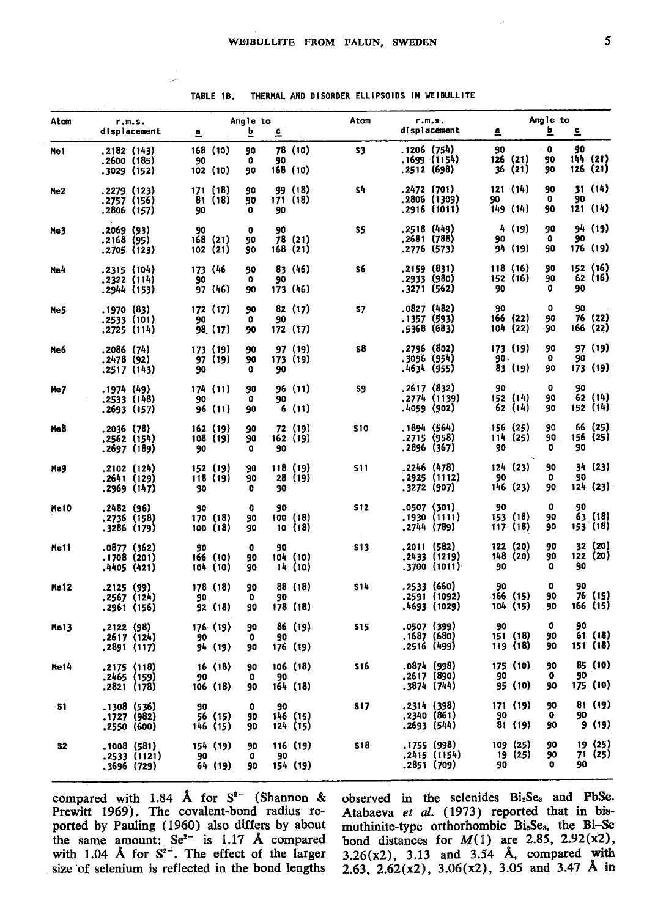TABLE 1B. THERMAL AND DISORDER ELLIPSOIDS IN WEIBULLITE

| Atom      | r.m.s.                                    | Angle to                                                                                       | Atom           | r.m.s.                                                | Angle to                                                                                |
|-----------|-------------------------------------------|------------------------------------------------------------------------------------------------|----------------|-------------------------------------------------------|-----------------------------------------------------------------------------------------|
|           | displacement a                            | $\overline{p}$<br>$\tilde{\mathbf{c}}$                                                         |                | displacement <u>a</u>                                 | 흐<br>$\overline{\epsilon}$                                                              |
| Mei       | .2182 (143)<br>.2600 (185)<br>.3029(152)  | 168(10)<br>78 (10)<br>90<br>- 90<br>٥<br>90<br>102(10)<br>168(10)<br>90                        | S3             | 90<br>. 1206 (754)<br>.1699(1154)<br>.2512 (698)      | $\bullet$<br>90<br>144 (21)<br>126(21)<br>90<br>126 (21)<br>36 (21)<br>90               |
| Me2       | .2279 (123)<br>.2757 (156)<br>.2806 (157) | 171 (18)<br>90<br>99 (18)<br>171(18)<br>81 (18)<br>90<br>- 90<br>0<br>90                       | S4             | $.2472$ (701)<br>.2806 (1309)<br>90<br>.2916 (1011)   | 31 (14)<br>121(14)<br>90<br>o<br>90<br>149(14)<br>121 (14)<br>90                        |
| Me3       | .2069 (93)<br>.2168(95)<br>.2705(123)     | 90<br>- 90<br>0<br>78(21)<br>168(21)<br>90<br>168(21)<br>102(21)<br>90                         | S5             | .2518 (449)<br>90<br>.2681(788)<br>.2776 (573)        | 94 (19)<br>4 (19)<br>90<br>o<br>90<br>176 (19)<br>94 (19)<br>90                         |
| Me4       | .2315 (104)<br>.2322(114)<br>.2944(153)   | 173 (46<br>90<br>83 (46)<br>90<br>$\bullet$<br>90<br>97(46)<br>173 (46)<br>90                  | S6             | .2159 (831)<br>.2933 (980)<br>.3271 (562)<br>90       | 152 (16)<br>118(16)<br>90<br>62 (16)<br>90<br>152 (16)<br>0<br>90                       |
| Me5       | .1970 (83)<br>.2533(101)<br>.2725 (114)   | 172 (17)<br>82 (17)<br>90<br>90<br>90<br>۰<br>98 (17)<br>172(17)<br>90                         | S <sub>7</sub> | .0827(482)<br>-90<br>.1357 (593)<br>.5368 (683)       | 0<br>90<br>76(22)<br>166(22)<br>90<br>166(22)<br>104(22)<br>90                          |
| Me6       | .2086(74)<br>.2478(92)<br>.2517(143)      | 173 (19)<br>90<br>97 (19)<br>90<br>97 (19)<br>173 (19)<br>- 90<br>0<br>90                      | S8             | .2796 (802)<br>.3096 (954)<br>.4634 (955)             | 97 (19)<br>173 (19)<br>90<br>90 - 10<br>$\mathbf{o}$<br>90<br>173 (19)<br>83 (19)<br>90 |
| Me7       | .1974 (49)<br>.2533(148)<br>.2693(157)    | 96 (11)<br>174(11)<br>90<br>$\mathbf{0}$<br>90<br>90<br>96 (11)<br>6 (11)<br>90                | S9             | .2617 (832)<br>-90<br>.2774 (1139)<br>.4059 (902)     | 0<br>90<br>62(14)<br>152 (14)<br>90<br>62 (14)<br>152 (14)<br>90                        |
| MaB       | .2036(78)<br>.2562(154)<br>.2697 (189)    | 162 (19)<br>72 (19)<br>90<br>108 (19)<br>162 (19)<br>90<br>- 90<br>0<br>90                     | \$10           | .1894 (564)<br>.2715(958)<br>.2896 (367)<br>- 90      | 66 (25)<br>156 (25)<br>90<br>114(25)<br>156 (25)<br>90<br>0<br>90                       |
| Me9       | .2102(124)<br>.2641(129)<br>.2969(147)    | 152 (19)<br>118 (19)<br>90<br>118(19)<br>28 (19)<br>90<br>- 90<br>0<br>90                      | <b>S11</b>     | .2246 (478)<br>.2925 (1112)<br>- 90<br>.3272 (907)    | 124(23)<br>34 (23)<br>90<br>$\bullet$<br>90<br>124(23)<br>146(23)<br>90                 |
| Mei0      | .2482(96)<br>.2736(158)<br>.3286 (179)    | $\mathbf 0$<br>90<br>90<br>100(18)<br>170 (18)<br>90<br>100 (18)<br>10(18)<br>90               | <b>S12</b>     | 90<br>.0507 (301)<br>.1930(1111)<br>.2744 (789)       | $\mathbf 0$<br>90<br>63(18)<br>153 (18)<br>90<br>117(18)<br>153(18)<br>90               |
| Me11      | .0877(362)<br>.1708(201)<br>.4405 (421)   | 90<br>90<br>$\bullet$<br>166 (10)<br>104 (10)<br>90<br>104 (10)<br>90<br>14 (10)               | <b>S13</b>     | .2011(582)<br>.2433 (1219)<br>.3700(1011)<br>- 90     | 32 (20)<br>122 (20)<br>90<br>148 (20)<br>122(20)<br>90<br>0<br>90                       |
| Me 12     | .2125(99)<br>.2567(124)<br>.2961 (156)    | 88 (18)<br>178 (18)<br>90<br>90<br>0<br>90<br>92 (18)<br>178 (18)<br>90                        | S14            | .2533(660)<br>- 90<br>.2591 (1092)<br>,4693 (1029)    | 90<br>$\mathbf o$<br>76(15)<br>166 (15)<br>90<br>166 (15)<br>104(15)<br>90              |
| Me13      | .2122 (98)<br>.2617(124)<br>.2891(117)    | 176 (19)<br>86 (19)<br>90<br>o<br>- 90<br>90<br>94 (19)<br>90<br>176 (19)                      | <b>S15</b>     | .0507 (399)<br>.1687 (680)<br>- 90<br>.2516 (499)     | $\bullet$<br>90<br>61 (18)<br>151 (18)<br>90<br>151 (18)<br>119(18)<br>90               |
| Me14      | .2175(118)<br>.2465 (159)<br>.2821 (178)  | 16 (18)<br>106 (18)<br>90<br>90<br>$\mathbf{0}$<br>-90<br>106(18)<br>164 (18)<br>90            | <b>S16</b>     | .0874 (998)<br>$.2617$ (890)<br>$.3874$ (744)<br>- 90 | 85 (10)<br>175 (10)<br>90<br>0<br>90<br>175 (10)<br>95 (10)<br>90                       |
| 51        | .1308 (536)<br>.1727 (982)<br>.2550 (600) | $\bullet$<br>90<br>90<br>$\frac{56}{165}$ (15)<br>146 (15)<br>90<br>124 (15)<br>146 (15)<br>90 | <b>S17</b>     | .2314 (398)<br>,2340(861)<br>- 90<br>.2693(544)       | 81(19)<br>171 (19)<br>90<br>٥<br>90 —<br>9 (19)<br>81 (19)<br>90                        |
| <b>S2</b> | .1008(581)<br>.2533(1121)<br>.3696 (729)  | 154 (19)<br>116 (19)<br>90<br>$90$<br>64 (19)<br>$\bullet$<br>90<br>64 (19)<br>154 (19)<br>90  | S18            | .1755 (998)<br>.2415 (1154)<br>.2851 (709)<br>90      | 19 (25)<br>109(25)<br>90<br>71 (25)<br>90<br>19 (25)<br>90<br>0                         |

compared with 1.84 Å for  $S^{2-}$  (Shannon & Prewitt 1969). The covalent-bond radius reported by Pauling (1960) also differs by about the same amount:  $Se^{2-}$  is 1.17 Å compared with 1.04 Å for  $S^{2-}$ . The effect of the larger size of selenium is reflected in the bond lengths

observed in the selenides Bi<sub>2</sub>Se<sub>3</sub> and PbSe. Atabaeva et al. (1973) reported that in bismuthinite-type orthorhombic Bi<sub>2</sub>Se<sub>3</sub>, the Bi-Se<br>bond distances for  $M(1)$  are 2.85, 2.92(x2),  $3.26(x2)$ ,  $3.13$  and  $3.54$  Å, compared with 2.63, 2.62(x2), 3.06(x2), 3.05 and 3.47 Å in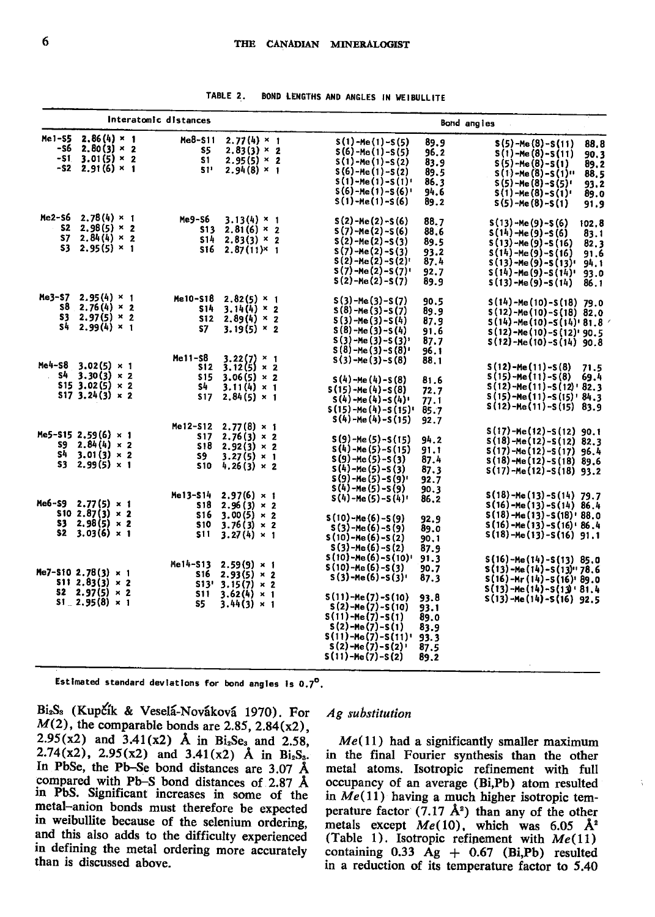|    | I           |  |
|----|-------------|--|
| ۰, |             |  |
|    |             |  |
|    | I<br>I<br>I |  |

|                           |                                                                                                              | Interatomic distances                               |                                                                                                                   |                                                                                                                                                                                                                                                                      | Bond angles                                                                  |                                                                                                                                                                                                                                                                 |
|---------------------------|--------------------------------------------------------------------------------------------------------------|-----------------------------------------------------|-------------------------------------------------------------------------------------------------------------------|----------------------------------------------------------------------------------------------------------------------------------------------------------------------------------------------------------------------------------------------------------------------|------------------------------------------------------------------------------|-----------------------------------------------------------------------------------------------------------------------------------------------------------------------------------------------------------------------------------------------------------------|
| -51                       | Me1-55 2.86 $(4) \times 1$<br>$-56$ 2.80(3) × 2<br>$3.01(5) \times 2$<br>$-S2$ 2.91(6) × 1                   | Me8-511<br>\$5<br>S1.<br>51'                        | $2.77(4) \times 1$<br>$2.83(3) \times 2$<br>$2.95(5) \times 2$<br>$2.94(8) \times 1$                              | $S(1)$ -Me $(1)$ -S $(5)$<br>$S(6)-Me(1)-S(5)$<br>$S(1)$ -Me $(1)$ -S $(2)$<br>$S(6)-Me(1)-S(2)$<br>$S(1)$ -Me $(1)$ -S $(1)$ '<br>$S(6)$ -Me $(1)$ -S $(6)$ !<br>$S(1)$ -Me $(1)$ -S $(6)$                                                                          | 89.9<br>96.2<br>83.9<br>89.5<br>86.3<br>94.6<br>89.2                         | $S(5)$ -Me $(8)$ -S $(11)$<br>88.8<br>$S(1)$ –Me $(8)$ – $S(11)$<br>90.3<br>$S(5)$ -Me $(8)$ -S $(1)$<br>89.2<br>$S(1)$ -Me $(8)$ -S $(1)$<br>88.5<br>$S(5)$ -Me $(8)$ -S $(5)$ !<br>93.2<br>$S(1)$ –Me $(8)$ –S $(1)$ '<br>89.0<br>$S(5)-Me(8)-S(1)$<br>91.9   |
| Me2-S6<br><b>S2</b><br>S7 | $2.78(4) \times 1$<br>$2.98(5) \times 2$<br>$2.84(4) \times 2$<br>$53$ 2.95(5) × 1                           | Me9-S6<br>S13<br>S14<br><b>S16</b>                  | $3.13(4) \times 1$<br>$2.81(6) \times 2$<br>$2.83(3) \times 2$<br>$2.87(11)^{x}$ 1                                | $S(2) - Me(2) - S(6)$<br>$S(7)-Me(2)-S(6)$<br>$S(2)$ -Me $(2)$ -S $(3)$<br>$S(7)-Me(2)-S(3)$<br>$S(2) - Me(2) - S(2)$<br>$S(7)$ -Me $(2)$ -S $(7)$ '<br>$S(2)-Me(2)-S(7)$                                                                                            | 88.7<br>88.6<br>89.5<br>93.2<br>87.4<br>92.7<br>89.9                         | $S(13)$ -Me $(9)$ -S $(6)$<br>102.8<br>S (14) -Me (9) -S (6)<br>83.1<br>$S(13)$ -Me $(9)$ -S $(16)$<br>82.3<br>$S(14)$ –Me $(9)$ –S $(16)$<br>91.6<br>$S(13)$ -Me $(9)$ -S $(13)$<br>94.1<br>$S(14) - Me(9) - S(14)$<br>93.0<br>$S(13)$ -Me (9) -S (14)<br>86.1 |
| Me3-S7<br>S8<br>\$3       | $2,95(4) \times 1$<br>$2.76(4) \times 2$<br>$2.97(5) \times 2$<br>$S4$ 2.99(4) × 1                           | Me10-S18<br>S14<br>57                               | $2,82(5) \times 1$<br>$3.14(4) \times 2$<br>$$12$ 2, $89(4) \times 2$<br>$3.19(5) \times 2$                       | $S(3)$ -Me $(3)$ -S $(7)$<br>$S(8)-Me(3)-S(7)$<br>$S(3)-Me(3)-S(4)$<br>$S(8)$ –Me $(3)$ –S $(4)$<br>$S(3)$ -Me (3) -S(3) <sup>1</sup>                                                                                                                                | 90.5<br>89.9<br>87.9<br>91.6<br>87.7                                         | $S(14)$ -Me $(10)$ -S $(18)$ 79.0<br>$S(12)$ -Me $(10)$ -S $(18)$ 82.0<br>$S(14)$ -Me $(10)$ -S $(14)$ ' 81.8<br>$S(12)$ –Me $(10)$ – $S(12)$ ' 90.5<br>$S(12)$ -Me $(10)$ -S $(14)$ 90.8                                                                       |
|                           | $Me4-S8$ 3.02(5) × 1<br>$S4$ 3.30(3) × 2<br>$$15$ 3.02(5) $\times$ 2<br>$S17$ 3.24(3) $\times$ 2             | $Me11-S8$<br>512<br>\$15<br>S4<br><b>S17</b>        | $3.22(7) \times 1$<br>$3.12(5) \times 2$<br>$3.06(5) \times 2$<br>$3.11(4) \times 1$<br>$2,84(5) \times 1$        | $S(8)$ -Me $(3)$ -S $(8)$ <sup>1</sup><br>$S(3)$ –Me $(3)$ –S $(8)$<br>$S(4)$ -Me $(4)$ -S $(8)$<br>$S(15)$ -Me $(4)$ -S $(8)$<br>$S(4)$ -Me $(4)$ -S $(4)$<br>$S(15)$ -Me $(4)$ -S $(15)$ !                                                                         | 96.1<br>88.1<br>81.6<br>72.7<br>77.1<br>85.7                                 | $S(12)-Me(11)-S(8)$<br>71.5<br>69.4<br>$S(15)$ -Me (11) -S(8)<br>$S(12)$ -Me $(11)$ -S $(12)$ ' 82.3<br>$S(15)$ -Me $(11)$ -S $(15)$ ' 84.3<br>$S(12)$ -Me $(11)$ -S $(15)$ 83.9                                                                                |
| S3.                       | Me5-S15 2.59 $(6) \times 1$<br>$59$ 2.84(4) $\times$ 2<br>$S_4$ 3.01(3) × 2<br>$2.99(5) \times 1$            | Me12-S12<br><b>S17</b><br>S18<br>S9<br>510          | $2.77(8) \times 1$<br>$2.76(3) \times 2$<br>$2.92(3) \times 2$<br>$3.27(5) \times 1$<br>$4.26(3) \times 2$        | $S(4)$ –Me $(4)$ –S $(15)$<br>$S(9)$ –Me $(5)$ –S $(15)$<br>$S(4)$ -Me $(5)$ -S $(15)$<br>$S(9)$ -Me $(5)$ -S $(3)$<br>$S(4)$ -Me $(5)$ -S $(3)$<br>S(9)-Me(5)-S(9)'                                                                                                 | 92.7<br>94.2<br>91.1<br>87.4<br>87.3<br>92.7                                 | $S(17)$ -Me $(12)$ -S $(12)$ 90.1<br>$S(18)$ -Me(12)-S(12) 82.3<br>$S(17)$ -Me $(12)$ -S $(17)$ 96.4<br>$S(18)$ -Me $(12)$ -S $(18)$ 89.6<br>$S(17)$ -Me $(12)$ -S $(18)$ 93.2                                                                                  |
| Me6-S9<br>53.             | $2.77(5) \times 1$<br>$$10 2.87(3) \times 2$<br>$2.98(5) \times 2$<br>$S2 \t3.03(6) \times 1$                | Me13-514<br>518<br><b>S16</b><br>\$10<br><b>S11</b> | $2.97(6) \times 1$<br>$2.96(3) \times 2$<br>$3.00(5) \times 2$<br>$3.76(3) \times 2$<br>$3.27(4) \times 1$        | $S(4)$ -Me $(5)$ -S $(9)$<br>$S(4)$ -Me (5) -S(4)<br>$S(10)-Me(6)-S(9)$<br>$S(3)$ -Me $(6)$ -S $(9)$<br>$S(10)$ -Me $(6)$ -S $(2)$<br>$S(3)$ -Me $(6)$ -S $(2)$                                                                                                      | 90.3<br>86.2<br>92.9<br>89.0<br>90.1<br>87.9                                 | $S(18)$ -Me $(13)$ -S $(14)$ 79.7<br>$S(16)$ –Me $(13)$ – $S(14)$ 86.4<br>$S(18)$ –Me $(13)$ – $S(18)$ † 88.0<br>S(16)-Me(13)-S(16)' 86.4<br>$S(18)-Me(13)-S(16)$ 91.1                                                                                          |
|                           | $Me7-S10 2.78(3) \times 1$<br>$511$ 2.83(3) $\times$ 2<br>$52 \t2.97(5) \times 2$<br>$S1 = 2.95(8) \times 1$ | Me14-S13<br><b>S16</b><br><b>S11</b><br>S5          | $2.59(9) \times 1$<br>$2.93(5) \times 2$<br>$S13'$ 3.15(7) $\times$ 2<br>$3.62(4) \times 1$<br>$3.44(3) \times 1$ | $S(10)$ -Me $(6)$ -S $(10)$ '<br>$S(10)$ –Me $(6)$ –S $(3)$<br>$S(3)-Me(6)-S(3)$<br>$S(11)$ -Me $(7)$ -S $(10)$<br>$S(2)$ –Me $(7)$ – $S(10)$<br>$S(11)-Me(7)-S(1)$<br>$S(2)-Me(7)-S(1)$<br>$S(11)$ -Me $(7)$ -S $(11)$ '<br>$S(2)-Me(7)-S(2)$<br>$S(11)-Me(7)-S(2)$ | 91.3<br>90.7<br>87.3<br>93.8<br>93.1<br>89.0<br>83.9<br>93.3<br>87.5<br>89.2 | $S(16)$ -Me $(14)$ -S $(13)$ 85.0<br>$S(13)$ -Me $(14)$ -S $(13)$ <sup>11</sup> 78.6<br>$S(16)$ -Mr (14)-S(16)' 89.0<br>$S(13)$ –Me $(14)$ – $S(13)$ $B1.4$<br>$S(13)$ -Me $(14)$ -S $(16)$ 92.5                                                                |

| TABLE 2. |  |  |  | BOND LENGTHS AND ANGLES IN WEIBULLITE |
|----------|--|--|--|---------------------------------------|
|          |  |  |  |                                       |

Estimated standard deviations for bond angles is  $0.7^{\circ}$ .

Bi<sub>2</sub>S<sub>3</sub> (Kupčík & Veselá-Nováková 1970). For  $M(2)$ , the comparable bonds are 2.85, 2.84(x2), 2.95(x2) and 3.41(x2) Å in  $Bi_2Se_3$  and 2.58, 2.74(x2), 2.95(x2) and 3.41(x2) Å in  $Bi_2S_3$ . In PbSe, the Pb-Se bond distances are 3.07 Å compared with Pb-S bond distances of 2.87 Å in PbS. Significant increases in some of the metal-anion bonds must therefore be expected in weibullite because of the selenium ordering, and this also adds to the difficulty experienced in defining the metal ordering more accurately than is discussed above.

#### Ag substitution

 $Me(11)$  had a significantly smaller maximum in the final Fourier synthesis than the other metal atoms. Isotropic refinement with full occupancy of an average (Bi,Pb) atom resulted in  $Me(11)$  having a much higher isotropic temperature factor  $(7.17 \text{ Å}^2)$  than any of the other metals except  $Me(10)$ , which was 6.05  $A^2$ (Table 1). Isotropic refinement with  $Me(11)$ containing  $0.33 \text{ Ag} + 0.67 \text{ (Bi, Pb)}$  resulted in a reduction of its temperature factor to 5.40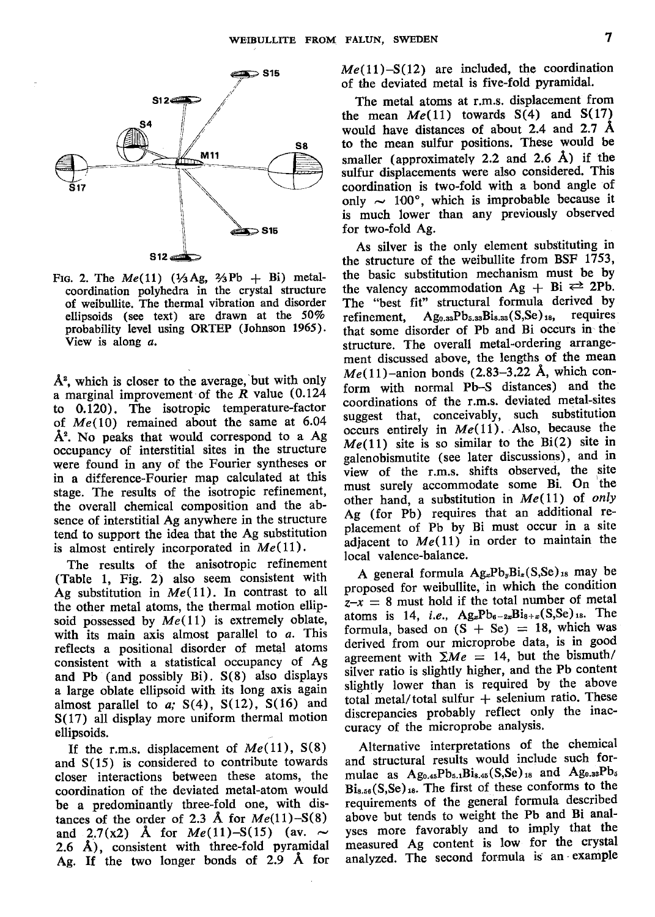

FIG. 2. The  $Me(11)$  (1/3 Ag,  $\frac{2}{3}Pb + Bi$ ) metalcoordination polyhedra in the crystal structure of weibullite. The thermal vibration and disorder ellipsoids (see text) are drawn at the  $50\%$ probability level using ORTEP (Johnson 1965). View is along a.

 $A^2$ , which is closer to the average, but with only a marginal improvement of the  $R$  value (0.124) to 0.120). The isotropic temperature-factor of  $Me(10)$  remained about the same at 6.04  $A^2$ . No peaks that would correspond to a Ag occupancy of interstitial sites in the structure were found in any of the Fourier syntheses or in a difference-Fourier map calculated at this stage. The results of the isotropic refinement, the overall chemical composition and the absence of interstitial Ag anywhere in the structure tend to support the idea that the Ag substitution is almost entirely incorporated in  $Me(11)$ .

The results of the anisotropic refinement (Table 1, Fig. 2) also seem consistent with Ag substitution in  $Me(11)$ . In contrast to all the other metal atoms, the thermal motion ellipsoid possessed by  $Me(11)$  is extremely oblate, with its main axis almost parallel to  $a$ . This reflects a positional disorder of metal atoms consistent with a statistical occupancy of Ag and Pb (and possibly Bi). S(8) also displays a large oblate ellipsoid with its long axis again almost parallel to  $a$ ; S(4), S(12), S(16) and S(17) all display more uniform thermal motion ellipsoids.

If the r.m.s. displacement of  $Me(11)$ ,  $S(8)$ and S(15) is considered to contribute towards closer interactions between these atoms, the coordination of the deviated metal-atom would be a predominantly three-fold one, with distances of the order of 2.3 Å for  $Me(11) - S(8)$ and 2.7(x2) Å for  $Me(11) - S(15)$  (av.  $\sim$ 2.6 Å), consistent with three-fold pyramidal Ag. If the two longer bonds of 2.9 A for  $Me(11)-S(12)$  are included, the coordination of the deviated metal is five-fold pyramidal.

The metal atoms at r.m.s. displacement from the mean  $Me(11)$  towards  $S(4)$  and  $S(17)$ would have distances of about 2,4 and 2.7 A to the mean sulfur positions. These would be smaller (approximately 2.2 and 2.6  $\AA$ ) if the sulfur displacements were also considered. This coordination is two-fold with a bond angle of only  $\sim 100^{\circ}$ , which is improbable because it is much lower than any previously observed for two-fold Ag.

As silver is the only element substituting in the structure of the weibullite from BSF 1753, the basic substitution mechanism must be by the valency accommodation Ag + Bi  $\rightleftarrows$  2Pb. The "best fit" structural formula derived by<br>refinement,  $Ag_{0.33}Pb_{5.33}Bi_{8.33}(S,Se)_{18}$ , requires  $Ag_{0.33}Pb_{5.33}Bi_{8.33}(S,Se)_{18}$ that some disorder of Pb and Bi occurs in'the structure. The overall metal-ordering arrangement discussed above, the lengths of the mean  $Me(11)$ -anion bonds (2.83-3.22 Å, which conform with norrnal Pb-S distances) and the coordinations of the r.m.s. deviated metal-sites suggest that, conceivably, such substitution occurs entirely in  $Me(11)$ . Also, because the  $Me(11)$  site is so similar to the Bi(2) site in galenobismutite (see later discussions), and in view of the r.m.s. shifts observed, the site must surely accommodate some Bi. On the other hand, a substitution in  $Me(11)$  of only Ag (for Pb) requires that an additional replicement of Pb by Bi must occur in a site adjacent to  $Me(11)$  in order to maintain the local valence-balance.

A general formula  $Ag_xPb_yBi_x(S,Se)_{18}$  may be proposed for weibullite, in which the condition  $z-x = 8$  must hold if the total number of metal atoms is 14, *i.e.*,  $Ag_xPb_{6-2x}Bi_{8+x}(S,Se)_{18}$ . The formula, based on  $(S + Se) = 18$ , which was derived from our microprobe data, is in good agreement with  $\Sigma Me = 14$ , but the bismuth/ silver ratio is slightly higher, and the Pb content slightly lower than is required by the above total metal/total sulfur  $+$  selenium ratio. These discrepancies probably reflect only the inaccuracy of the microprobe analysis.

Alternative interpretations of the chemical and structural results would include such formulae as  $Ag<sub>0.45</sub>Pb<sub>5.1</sub>Bi<sub>8.45</sub>(S,Se)<sub>18</sub>$  and  $Ag<sub>0.33</sub>Pb<sub>5</sub>$  $Bi_{8.56}(S,Se)_{18}$ . The first of these conforms to the requirements of the general formula described above but tends to weight the Pb and Bi analyses more favorably and to imply- that the measured Ag content is low for the crystal analyzed. The second formula is an'example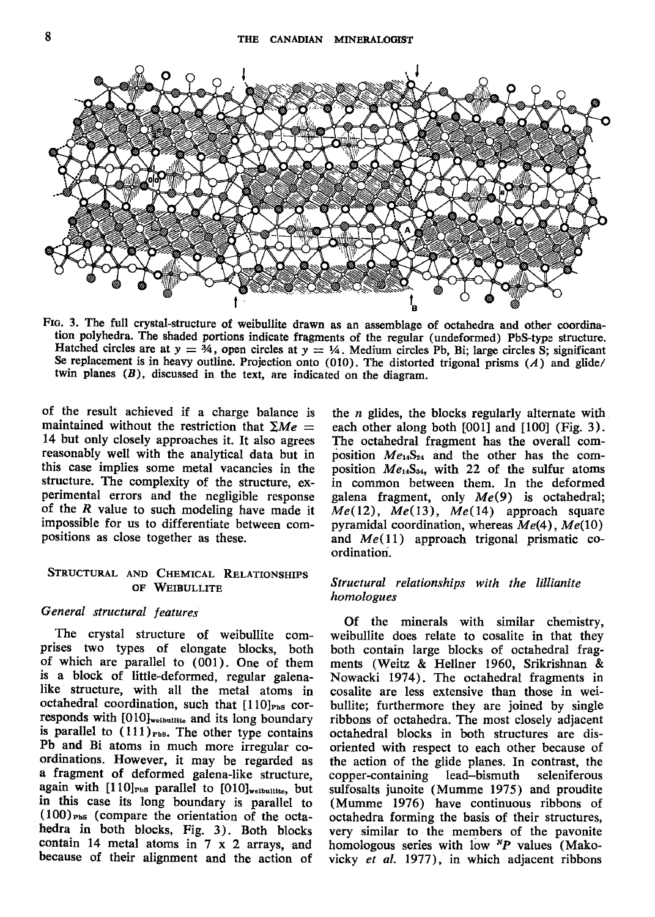

FIG. 3. The full crystal-structure of weibullite drawn as an assemblage of octahedra and other coordination polyhedra. The shaded portions indicate fragnents of the regular (undeformed) PbS-type structure. Hatched circles are at  $y = 34$ , open circles at  $y = 3/4$ . Medium circles Pb, Bi; large circles S; significant Se replacement is in heavy outline. Projection onto (010). The distorted trigonal prisms  $(A)$  and glide/ twin planes  $(B)$ , discussed in the text, are indicated on the diagram.

of the result achieved if a charge balance is maintained without the restriction that  $\Sigma Me =$ 14 but only closely approaches it. It also agrees reasonably well with the analytical data but in this case implies some metal vacancies in the structure. The complexity of the structure, experimental errors and the negligible response of the  $R$  value to such modeling have made it impossible for us to differentiate between compositions as close together as these.

# STRUCTURAL AND CHEMICAL RELATIONSHIPS OF WEIBULLITE

### General structural features

The crystal structure of weibullite comprises two types of elongate blocks, both of which are parallel to (001). One of them is a block of little-deformed, regular galenalike structure, with all the metal atoms in octahedral coordination, such that [110]<sub>PhS</sub> corresponds with [010]weibullite and its long boundary is parallel to  $(111)_{\text{Pbs}}$ . The other type contains Pb and Bi atoms in much more irregular coordinations. However, it may be regarded as a fragment of deformed galena-like structure, again with [110]<sub>Phs</sub> parallel to [010]weibullite, but in this case its long boundary is parallel to  $(100)_{\text{Pb}}$  (compare the orientation of the octahedra in both blocks, Fig. 3). Both blocks contain 14 metal atoms in  $7 \times 2$  arrays, and because of their alignment and the action of

the  $n$  glides, the blocks regularly alternate with each other along both  $[001]$  and  $[100]$  (Fig. 3). The octahedral fragment has the overall composition  $Me<sub>14</sub>S<sub>24</sub>$  and the other has the composition  $Me<sub>14</sub>S<sub>34</sub>$ , with 22 of the sulfur atoms in common between them. In the deformed galena fragment, only  $Me(9)$  is octahedral;  $Me(12)$ ,  $Me(13)$ ,  $Me(14)$  approach square pyramidal coordination, whereas  $Me(4)$ ,  $Me(10)$ and  $Me(11)$  approach trigonal prismatic coordination.

# Structural relationships with the lillianite homologues

Of the minerals with similar chemistry, weibullite does relate to cosalite in that they both contain large blocks of octahedral fragments (Weitz & Hellner 1960, Srikrishnan & Nowacki 1974). The octahedral fragments in cosalite are less extensive than those in weibullite; furthermore they are joined by single ribbons of octahedra. The most closely adjacent octahedral blocks in both structures are disoriented with respect to each other because of the action of the glide planes. In contrast, the copper-containing lead-bismuth seleniferous sulfosalts junoite (Mumme 1975) and proudite (Mumme 1976) have continuous ribbons of octahedra forming the basis of their structures, very similar to the members of the pavonite homologous series with low  $N_P$  values (Makovicky et al. 1977), in which adjacent ribbons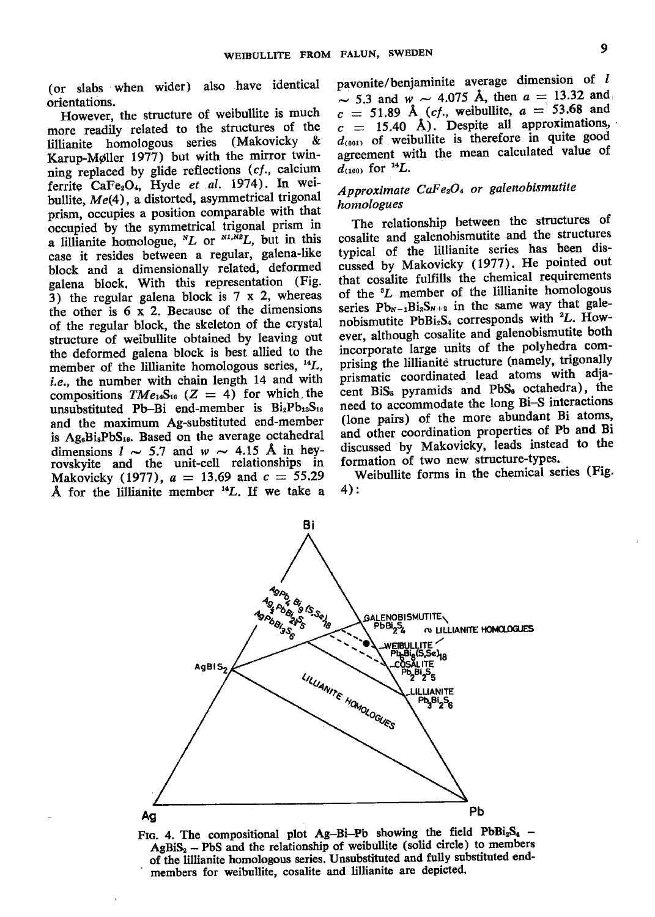(or slabs when wider) also have identical orientations.

However, the structure of weibullite is much more readily related to the structures of the<br>Billianite, homologous, series, (Makovicky, & lillianite homologous series (Makovicky Karup-Møller 1977) but with the mirror twinning replaced by glide reflections  $(cf.,$  calcium ferrite CaFe<sub>2</sub>O<sub>4</sub>, Hyde et al. 1974). In weibullite,  $Me(4)$ , a distorted, asymmetrical trigonal prism, occupies a position comparable with that  $\alpha$  occupied by the symmetrical trigonal prism in a lillianite homologue,  ${}^N L$  or  ${}^{N1,N2}L$ , but in this case it resides between a regular, galena-like block and a dimensionally related, deformed galena block. With this representation (Fig. 13) the regular galena block is 7  $\times$  2, whereas the other is  $6 \times 2$ . Because of the dimensions of the regular block, the skeleton of the crystal structure of weibullite obtained by leaving out the deformed galena block is best allied to the member of the lillianite homologous series,  $^{14}L$ , i.e., the number with chain length 14 and with compositions  $TMe_{14}S_{16}$  ( $Z = 4$ ) for which the unsubstituted Pb-Bi end-member is  $Bi_2Pb_{13}S_{16}$ and the maximum Ag-substituted end-member is Ag<sub>6</sub>Bi<sub>8</sub>PbS<sub>16</sub>. Based on the average octahedral dimensions  $l \sim 5.7$  and  $w \sim 4.15$  Å in heyrovskyite and the unit-cell relationships in Makovicky (1977),  $a = 13.69$  and  $c = 55.29$ Å for the lillianite member  $^{14}L$ . If we take a pavonite/benjaminite average dimension of  $l$  $\sim$  5.3 and w  $\sim$  4.075 Å, then  $a = 13.32$  and  $c = 51.89$  Å (cf., weibullite,  $a = 53.68$  and  $c = 15.40$  Å). Despite all approximations,  $d_{(001)}$  of weibullite is therefore in quite good agreement with the mean calculated value of  $d_{(100)}$  for  $^{14}L$ .

# Approximate  $CaFe<sub>2</sub>O<sub>4</sub>$  or galenobismutite homologues

The relationship between the structures of cosalite and galenobismutite and the structures tvpical of the lillianite series has been discussed by Makovicky (1977). He pointed out that cosalite fulfills the chemical requirements of the 3L member of the lillianite homologous series  $Pb_{N-1}Bi_2S_{N+2}$  in the same way that galenobismutite PbBi<sub>2</sub>S<sub>4</sub> corresponds with  ${}^2L$ . However, although cosalite and galenobismutite both incorporate large units of the polyhedra comprising the lillianite structure (namely, trigonally prismatic coordinated lead atoms with adjacent  $B_iS_s$  pyramids and  $PbS_s$  octahedra), the need to accommodate the long Bi-S interactions (lone pairs) of the more abundant Bi atoms, and other coordination properties of Pb and Bi discussed by Makovicky, leads instead to the formation of two new structure-types.

Weibullite forms in the chemical series (Fig. 4):



FIG. 4. The compositional plot Ag-Bi-Pb showing the field  $PbBi_2S_4$ .  $AgBiS<sub>2</sub> - PbS$  and the relationship of weibullite (solid circle) to members of the lillianite homologous series. Unsubstituted and fully substituted end-<br>members for weibullite, cosalite and lillianite are depicted.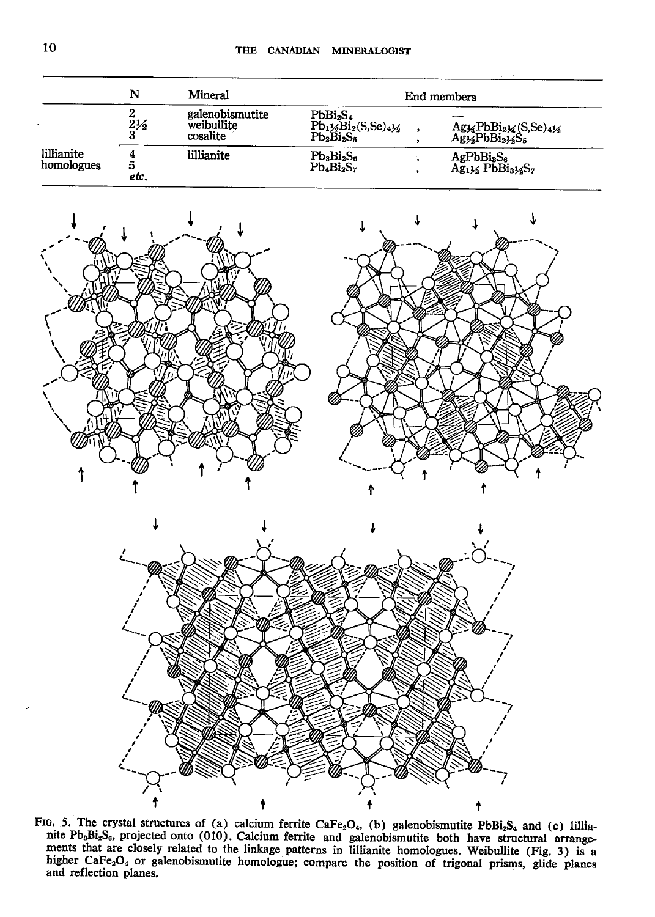|                          | N                   | Mineral                                   | End members                                                                                                                                       |  |                                                                                                                                                                         |  |
|--------------------------|---------------------|-------------------------------------------|---------------------------------------------------------------------------------------------------------------------------------------------------|--|-------------------------------------------------------------------------------------------------------------------------------------------------------------------------|--|
|                          | 2<br>$2\frac{1}{2}$ | galenobismutite<br>weibullite<br>cosalite | PbBi <sub>2</sub> S <sub>4</sub><br>$\frac{\text{Pb}_1\frac{1}{2}\text{Bi}_2(\text{S},\text{Se})_4\frac{1}{2}}{\text{Pb}_2\text{Bi}_2\text{S}_5}$ |  | $\begin{array}{l} \text{Agy}_{4}\text{PbBi}_{{2}}\text{y}_{4}\text{(S,Se)}\text{a}\text{y}_{4}\\ \text{Agy}_{2}\text{PbBi}_{{2}}\text{y}_{2}\text{S}_{{5}} \end{array}$ |  |
| lillianite<br>homologues | b<br>etc.           | lillianite                                | $Pb_3Bi_2S_6$<br>$Pb_4Bi_2S_7$                                                                                                                    |  | AgPbBi <sub>8</sub> S <sub>6</sub><br>$Ag_1\frac{1}{2}PbBi_3\frac{1}{2}S_7$                                                                                             |  |







Fig. 5. The crystal structures of (a) calcium ferrite CaFe<sub>2</sub>O<sub>4</sub>, (b) galenobismutite PbBi<sub>2</sub>S<sub>4</sub> and (c) lillianite Pb<sub>3</sub>Bi<sub>2</sub>S<sub>4</sub>, projected onto (010). Calcium ferrite and galenobismutite both have structural arrangem and reflection planes.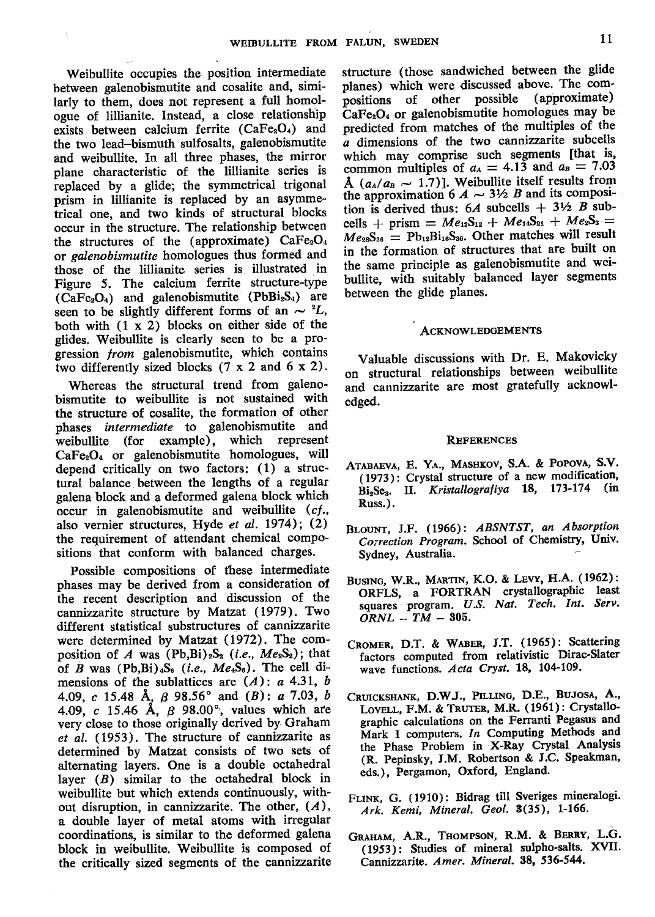Weibullite occupies the position intermediate between galenobismutite and cosalite and, similarly to them, does not represent a full homologue of lillianite. Instead, a close relationship exists between calcium ferrite (CaFe<sub>2</sub>O<sub>4</sub>) and the two lead-bismuth sulfosalts, galenobismutite and weibullite. In all three phases, the mirror plane oharacteristic of the lillianite series is replaced by a glide; the symmetrical trigonal prism in lillianite is replaced by an asymmetrical one, and two kinds of structural blocks occur in the structure. The relationship between the structures of the (approximate)  $CaFe<sub>2</sub>O<sub>4</sub>$ ot galenobismutite homologues thus formed and those of the lillianite series is illustrated in Figure 5. The calcium ferrite structure-type  $(CaFe<sub>2</sub>O<sub>4</sub>)$  and galenobismutite  $(PbBi<sub>2</sub>S<sub>4</sub>)$  are seen to be slightly different forms of an  $\sim$  <sup>2</sup>L, both with (1 x 2) blocks on either side of the glides. Weibullite is clearly seen to be a progression from galenobismutite, which contains two differently sized blocks  $(7 \times 2 \text{ and } 6 \times 2)$ .

 $\mathbf{I}$ 

Whereas the structural trend from galenobismutite to weibullite is not sustained with the structure of cosalite, the formation of other phases intermediate to galenobismutite and weibullite (for example), which represent  $CaFe<sub>2</sub>O<sub>4</sub>$  or galenobismutite homologues, will depend critically on two factors: (1) a structural balance between the lengths of a regular galena block and a deformed galena block which occur in galenobismutite and weibullite  $(cf.,$ also vernier structures, Hyde et al. 1974); (2) the requirement of attendant chemical compositions that conform with balanced charges.

Possible compositions of these intermediate phases may be derived from a consideration of the recent description and discussion of the cannizzarite structure by Matzat (1979). Two different statistical substructures of cannizzarite were determined by Matzat (1972). The composition of A was  $(Pb, Bi)_{2}S_{2}$  (*i.e.*,  $Me_{2}S_{2}$ ); that of B was  $(Pb, Bi)_4S_6$  (*i.e.*,  $Me_4S_6$ ). The cell dimensions of the sublattices are  $(A)$ : a 4.31, b 4.09, c 15.48 Å,  $\beta$  98.56° and (B): a 7.03, b 4.09, c 15.46 Å,  $\beta$  98.00°, values which are very close to those originally derived by Graham et al. (1953). The structure of cannizzarite as determined by Matzat consists of two sets of alternating layers. One is a double octahedral layer  $(B)$  similar to the octahedral block in weibullite but which extends continuously, without disruption, in cannizzarite. The other,  $(A)$ , a double layer of metal atoms with irregular coordinations, is similar to the deformed galena block in weibullite. Weibullite is composed of the critically sized segments of the cannizzarile structure (those sandwiched between the glide planes) which were discussed above. The compositions of other possible (approximate)  $CaFe<sub>2</sub>O<sub>4</sub>$  or galenobismutite homologues may be predicted from matches of the multiples of the a dimensions of the two cannizzarite subcells which mav comprise such segments [that is, common multiples of  $a_A = 4.13$  and  $a_B = 7.03$ Å  $(a_{A}/a_{B} \sim 1.7)$ ]. Weibullite itself results from the approximation 6  $A \sim 3\frac{1}{2} B$  and its composition is derived thus:  $6A$  subcells +  $3\frac{1}{2}$  B subcells + prism =  $Me_{12}S_{12} + Me_{14}S_{21} + Me_{2}S_{3}$  =  $Me_{28}S_{36}$  = Pb<sub>12</sub>Bi<sub>16</sub>S<sub>36</sub>. Other matches will result in the formation of structures that are built on the same principle as galenobismutite and weibullite, with suitably balanced layer segments between the glide planes.

#### **ACKNOWLEDGEMENTS**

Valuable discussions with Dr. E. Makovicky on structural relationships between weibullite and cannizzarite are most gratefully acknowledged.

#### **REFERENCES**

- ATABAEVA, E. YA., MASHKOV, S.A. & POPOVA, S.V. (1971); Crystal structure of a new modification, Bi<sub>2</sub>Se<sub>3</sub>. II. Kristallografiya 18, 173-174 (in Russ.).
- BLOUNT, J.F. (1966): ABSNTST, an Absorption Correction Program. School of Chemistry, Univ. Sydney, Australia.
- BUSING, W.R., MARTIN, K.O. & LEVY, H.A. (1962): ORFLS, a FORTRAN crystallographic least squares program. U.S. Nat. Tech. Int. Serv.  $ORNL-TM-305.$
- CROMER, D.T. & WABER, J.T. (1965): Scattering factors computed from relativistic Dirac-Slater wave functions. Acta Cryst. 18, 104-109.
- CRUICKSHANK, D.W.J., PILLING, D.E., BUJOSA, A., LOVELL, F.M. & TRUTER, M.R. (1961): Crystallographic calculations on the Ferranti Pegasus and Mark I computers. In Computing Methods and the Phase Problem in X-Ray Crystal Analysis (R. Pepinsky, J.M. Robertson & J.C. Speakman' eds.), Pergamon, Oxford, England.
- FLINK, G. (1910): Bidrag till Sveriges mineralogi. Ark. Kemi, Mineral. Geol. 3(35), 1-166.
- GRAHAM, A.R., THOMPSON, R.M. & BERRY, L.G. (1953): Studies of mineral sulpho-salts. XVII. Cannizzarite. Amer. Mineral. 38, 536-544.